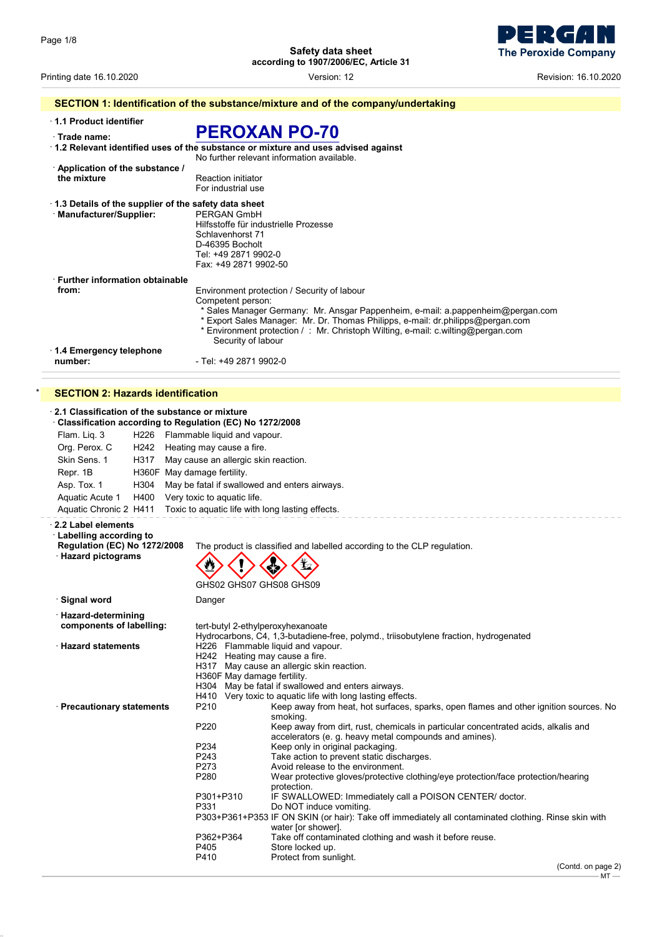L.

**Safety data sheet according to 1907/2006/EC, Article 31**



Printing date 16.10.2020 Version: 12 Revision: 16.10.2020

|                                                                                  | SECTION 1: Identification of the substance/mixture and of the company/undertaking                                                      |
|----------------------------------------------------------------------------------|----------------------------------------------------------------------------------------------------------------------------------------|
| 1.1 Product identifier<br>Trade name:                                            | <b>PEROXAN PO-70</b>                                                                                                                   |
|                                                                                  | $\cdot$ 1.2 Relevant identified uses of the substance or mixture and uses advised against<br>No further relevant information available |
| Application of the substance /<br>the mixture                                    | <b>Reaction initiator</b><br>For industrial use                                                                                        |
| 1.3 Details of the supplier of the safety data sheet<br>· Manufacturer/Supplier: | PERGAN GmbH<br>Hilfsstoffe für industrielle Prozesse<br>Schlavenhorst 71                                                               |

| 1.4 Emergency telephone<br>number:             | - Tel: +49 2871 9902-0                                                                                                                                                                                                                                                                            |
|------------------------------------------------|---------------------------------------------------------------------------------------------------------------------------------------------------------------------------------------------------------------------------------------------------------------------------------------------------|
|                                                | Competent person:<br>* Sales Manager Germany: Mr. Ansgar Pappenheim, e-mail: a pappenheim@pergan.com<br>* Export Sales Manager: Mr. Dr. Thomas Philipps, e-mail: dr.philipps@pergan.com<br>* Environment protection / : Mr. Christoph Wilting, e-mail: c.wilting@pergan.com<br>Security of labour |
| <b>Eurther information obtainable</b><br>from: | Environment protection / Security of labour                                                                                                                                                                                                                                                       |
|                                                | D-46395 Bocholt<br>Tel: +49 2871 9902-0<br>Fax: +49 2871 9902-50                                                                                                                                                                                                                                  |

## **SECTION 2: Hazards identification**

| 2.1 Classification of the substance or mixture<br>Classification according to Regulation (EC) No 1272/2008 |                                                  |                                                                                                                  |  |  |
|------------------------------------------------------------------------------------------------------------|--------------------------------------------------|------------------------------------------------------------------------------------------------------------------|--|--|
| Flam. Liq. 3                                                                                               | H226 Flammable liquid and vapour.                |                                                                                                                  |  |  |
| Org. Perox. C<br>H242 Heating may cause a fire.                                                            |                                                  |                                                                                                                  |  |  |
| Skin Sens. 1<br>H317                                                                                       | May cause an allergic skin reaction.             |                                                                                                                  |  |  |
| Repr. 1B<br>H360F May damage fertility.                                                                    |                                                  |                                                                                                                  |  |  |
|                                                                                                            |                                                  |                                                                                                                  |  |  |
| Asp. Tox. 1<br>H304                                                                                        | May be fatal if swallowed and enters airways.    |                                                                                                                  |  |  |
| Aquatic Acute 1<br>H400                                                                                    | Very toxic to aquatic life.                      |                                                                                                                  |  |  |
| Aquatic Chronic 2 H411                                                                                     | Toxic to aquatic life with long lasting effects. |                                                                                                                  |  |  |
| 2.2 Label elements<br><b>Labelling according to</b><br><b>Regulation (EC) No 1272/2008</b>                 |                                                  | The product is classified and labelled according to the CLP regulation.                                          |  |  |
| · Hazard pictograms                                                                                        |                                                  |                                                                                                                  |  |  |
|                                                                                                            |                                                  |                                                                                                                  |  |  |
|                                                                                                            | GHS02 GHS07 GHS08 GHS09                          |                                                                                                                  |  |  |
| · Signal word                                                                                              | Danger                                           |                                                                                                                  |  |  |
| · Hazard-determining                                                                                       |                                                  |                                                                                                                  |  |  |
| components of labelling:                                                                                   | tert-butyl 2-ethylperoxyhexanoate                |                                                                                                                  |  |  |
|                                                                                                            |                                                  | Hydrocarbons, C4, 1,3-butadiene-free, polymd., triisobutylene fraction, hydrogenated                             |  |  |
| <b>Hazard statements</b>                                                                                   | H226 Flammable liquid and vapour.                |                                                                                                                  |  |  |
|                                                                                                            | H242 Heating may cause a fire.                   |                                                                                                                  |  |  |
|                                                                                                            |                                                  | H317 May cause an allergic skin reaction.                                                                        |  |  |
|                                                                                                            | H360F May damage fertility.                      |                                                                                                                  |  |  |
|                                                                                                            |                                                  | H304 May be fatal if swallowed and enters airways.<br>H410 Very toxic to aquatic life with long lasting effects. |  |  |
| · Precautionary statements                                                                                 | P210                                             | Keep away from heat, hot surfaces, sparks, open flames and other ignition sources. No                            |  |  |
|                                                                                                            |                                                  | smoking.                                                                                                         |  |  |
|                                                                                                            | P220                                             | Keep away from dirt, rust, chemicals in particular concentrated acids, alkalis and                               |  |  |
|                                                                                                            |                                                  | accelerators (e. g. heavy metal compounds and amines).                                                           |  |  |
|                                                                                                            | P234                                             | Keep only in original packaging.                                                                                 |  |  |
|                                                                                                            | P243                                             | Take action to prevent static discharges.                                                                        |  |  |
|                                                                                                            | P273                                             | Avoid release to the environment.                                                                                |  |  |
|                                                                                                            | P280                                             | Wear protective gloves/protective clothing/eye protection/face protection/hearing                                |  |  |
|                                                                                                            |                                                  | protection.                                                                                                      |  |  |
|                                                                                                            | P301+P310                                        | IF SWALLOWED: Immediately call a POISON CENTER/ doctor.                                                          |  |  |
|                                                                                                            | P331                                             | Do NOT induce vomiting.                                                                                          |  |  |
|                                                                                                            |                                                  | P303+P361+P353 IF ON SKIN (or hair): Take off immediately all contaminated clothing. Rinse skin with             |  |  |
|                                                                                                            |                                                  | water [or shower].                                                                                               |  |  |
|                                                                                                            | P362+P364<br>P405                                | Take off contaminated clothing and wash it before reuse.<br>Store locked up.                                     |  |  |
|                                                                                                            | P410                                             | Protect from sunlight.                                                                                           |  |  |
|                                                                                                            |                                                  |                                                                                                                  |  |  |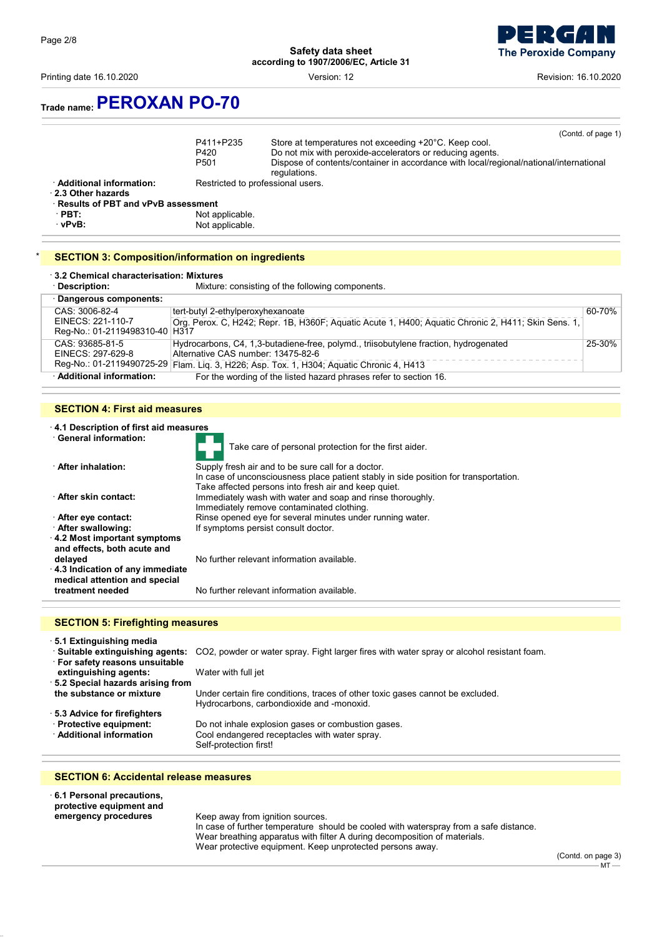Printing date 16.10.2020 Version: 12 Revision: 16.10.2020



## **Trade name:PEROXAN PO-70**

| <b>SECTION 3: Composition/information on ingredients</b> |                                       |                                                                                                                                                                                                                                                    |
|----------------------------------------------------------|---------------------------------------|----------------------------------------------------------------------------------------------------------------------------------------------------------------------------------------------------------------------------------------------------|
| · vPvB∶                                                  | Not applicable.                       |                                                                                                                                                                                                                                                    |
| $\cdot$ PBT:                                             | Not applicable.                       |                                                                                                                                                                                                                                                    |
| 2.3 Other hazards<br>Results of PBT and vPvB assessment  |                                       |                                                                                                                                                                                                                                                    |
| · Additional information:                                |                                       | Restricted to professional users.                                                                                                                                                                                                                  |
|                                                          | P411+P235<br>P420<br>P <sub>501</sub> | (Contd. of page 1)<br>Store at temperatures not exceeding +20°C. Keep cool.<br>Do not mix with peroxide-accelerators or reducing agents.<br>Dispose of contents/container in accordance with local/regional/national/international<br>regulations. |

# · **3.2 Chemical characterisation: Mixtures**

Mixture: consisting of the following components.

| Dangerous components:            |                                                                                                     |        |
|----------------------------------|-----------------------------------------------------------------------------------------------------|--------|
| CAS: 3006-82-4                   | tert-butyl 2-ethylperoxyhexanoate                                                                   | 60-70% |
| EINECS: 221-110-7                | Org. Perox. C, H242; Repr. 1B, H360F; Aquatic Acute 1, H400; Aquatic Chronic 2, H411; Skin Sens. 1, |        |
| Reg-No.: 01-2119498310-40   H317 |                                                                                                     |        |
| CAS: 93685-81-5                  | Hydrocarbons, C4, 1,3-butadiene-free, polymd., triisobutylene fraction, hydrogenated                | 25-30% |
| EINECS: 297-629-8                | Alternative CAS number: 13475-82-6                                                                  |        |
|                                  | Reg-No.: 01-2119490725-29 Flam. Liq. 3, H226; Asp. Tox. 1, H304; Aquatic Chronic 4, H413            |        |
| · Additional information:        | For the wording of the listed hazard phrases refer to section 16.                                   |        |

### **SECTION 4: First aid measures**

| 4.1 Description of first aid measures                                                                            |                                                                                                                                                                                                    |  |
|------------------------------------------------------------------------------------------------------------------|----------------------------------------------------------------------------------------------------------------------------------------------------------------------------------------------------|--|
| <b>General information:</b>                                                                                      | Take care of personal protection for the first aider.                                                                                                                                              |  |
| <b>∴After inhalation:</b>                                                                                        | Supply fresh air and to be sure call for a doctor.<br>In case of unconsciousness place patient stably in side position for transportation.<br>Take affected persons into fresh air and keep quiet. |  |
| <b>After skin contact:</b>                                                                                       | Immediately wash with water and soap and rinse thoroughly.<br>Immediately remove contaminated clothing.                                                                                            |  |
| ∙ After eye contact:                                                                                             | Rinse opened eye for several minutes under running water.                                                                                                                                          |  |
| After swallowing:                                                                                                | If symptoms persist consult doctor.                                                                                                                                                                |  |
| $\cdot$ 4.2 Most important symptoms<br>and effects, both acute and<br>delayed<br>4.3 Indication of any immediate | No further relevant information available.                                                                                                                                                         |  |
| medical attention and special<br>treatment needed                                                                | No further relevant information available.                                                                                                                                                         |  |
|                                                                                                                  |                                                                                                                                                                                                    |  |

## **SECTION 5: Firefighting measures**

· **5.1 Extinguishing media**

· **Suitable extinguishing agents:** CO2, powder or water spray. Fight larger fires with water spray or alcohol resistant foam. · **For safety reasons unsuitable extinguishing agents:** Water with full jet · **5.2 Special hazards arising from** Under certain fire conditions, traces of other toxic gases cannot be excluded. Hydrocarbons, carbondioxide and -monoxid. · **5.3 Advice for firefighters** · **Protective equipment:** Do not inhale explosion gases or combustion gases. Cool endangered receptacles with water spray. Self-protection first!

### **SECTION 6: Accidental release measures**

· **6.1 Personal precautions, protective equipment and** Keep away from ignition sources. In case of further temperature should be cooled with waterspray from a safe distance. Wear breathing apparatus with filter A during decomposition of materials.

Wear protective equipment. Keep unprotected persons away.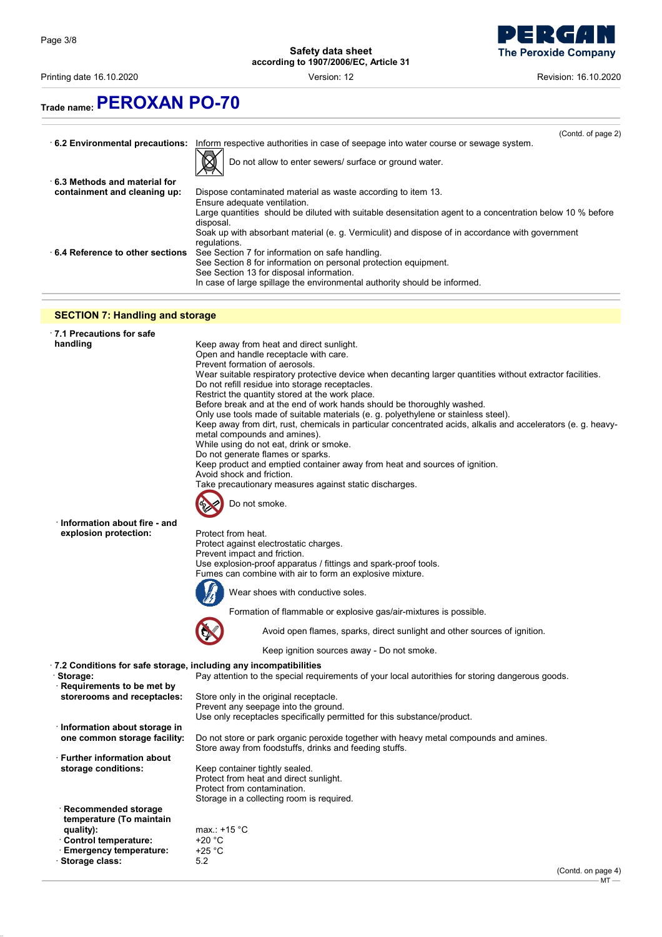Printing date 16.10.2020 Version: 12 Revision: 16.10.2020



# **Trade name:PEROXAN PO-70**

|                                 | (Contd. of page 2)                                                                                                     |
|---------------------------------|------------------------------------------------------------------------------------------------------------------------|
| 6.2 Environmental precautions:  | Inform respective authorities in case of seepage into water course or sewage system.                                   |
|                                 | Do not allow to enter sewers/ surface or ground water.                                                                 |
| 6.3 Methods and material for    |                                                                                                                        |
| containment and cleaning up:    | Dispose contaminated material as waste according to item 13.                                                           |
|                                 | Ensure adequate ventilation.                                                                                           |
|                                 | Large quantities should be diluted with suitable desensitation agent to a concentration below 10 % before<br>disposal. |
|                                 | Soak up with absorbant material (e. g. Vermiculit) and dispose of in accordance with government<br>regulations.        |
| 6.4 Reference to other sections | See Section 7 for information on safe handling.                                                                        |
|                                 | See Section 8 for information on personal protection equipment.                                                        |
|                                 | See Section 13 for disposal information.                                                                               |
|                                 | In case of large spillage the environmental authority should be informed.                                              |

## **SECTION 7: Handling and storage**

| 7.1 Precautions for safe<br>handling                             | Keep away from heat and direct sunlight.<br>Open and handle receptacle with care.<br>Prevent formation of aerosols.<br>Wear suitable respiratory protective device when decanting larger quantities without extractor facilities.<br>Do not refill residue into storage receptacles.<br>Restrict the quantity stored at the work place.<br>Before break and at the end of work hands should be thoroughly washed.<br>Only use tools made of suitable materials (e. g. polyethylene or stainless steel).<br>Keep away from dirt, rust, chemicals in particular concentrated acids, alkalis and accelerators (e. g. heavy-<br>metal compounds and amines).<br>While using do not eat, drink or smoke.<br>Do not generate flames or sparks.<br>Keep product and emptied container away from heat and sources of ignition.<br>Avoid shock and friction.<br>Take precautionary measures against static discharges.<br>Do not smoke. |
|------------------------------------------------------------------|--------------------------------------------------------------------------------------------------------------------------------------------------------------------------------------------------------------------------------------------------------------------------------------------------------------------------------------------------------------------------------------------------------------------------------------------------------------------------------------------------------------------------------------------------------------------------------------------------------------------------------------------------------------------------------------------------------------------------------------------------------------------------------------------------------------------------------------------------------------------------------------------------------------------------------|
| Information about fire - and<br>explosion protection:            | Protect from heat.<br>Protect against electrostatic charges.<br>Prevent impact and friction.<br>Use explosion-proof apparatus / fittings and spark-proof tools.<br>Fumes can combine with air to form an explosive mixture.<br>Wear shoes with conductive soles.<br>Formation of flammable or explosive gas/air-mixtures is possible.<br>Avoid open flames, sparks, direct sunlight and other sources of ignition.                                                                                                                                                                                                                                                                                                                                                                                                                                                                                                             |
|                                                                  | Keep ignition sources away - Do not smoke.                                                                                                                                                                                                                                                                                                                                                                                                                                                                                                                                                                                                                                                                                                                                                                                                                                                                                     |
| 7.2 Conditions for safe storage, including any incompatibilities |                                                                                                                                                                                                                                                                                                                                                                                                                                                                                                                                                                                                                                                                                                                                                                                                                                                                                                                                |
| Storage:<br>$\cdot$ Requirements to be met by                    | Pay attention to the special requirements of your local autorithies for storing dangerous goods.                                                                                                                                                                                                                                                                                                                                                                                                                                                                                                                                                                                                                                                                                                                                                                                                                               |
| storerooms and receptacles:                                      | Store only in the original receptacle.<br>Prevent any seepage into the ground.<br>Use only receptacles specifically permitted for this substance/product.                                                                                                                                                                                                                                                                                                                                                                                                                                                                                                                                                                                                                                                                                                                                                                      |
| Information about storage in<br>one common storage facility:     | Do not store or park organic peroxide together with heavy metal compounds and amines.<br>Store away from foodstuffs, drinks and feeding stuffs.                                                                                                                                                                                                                                                                                                                                                                                                                                                                                                                                                                                                                                                                                                                                                                                |
| <b>Further information about</b>                                 |                                                                                                                                                                                                                                                                                                                                                                                                                                                                                                                                                                                                                                                                                                                                                                                                                                                                                                                                |
| storage conditions:                                              | Keep container tightly sealed.<br>Protect from heat and direct sunlight.<br>Protect from contamination.<br>Storage in a collecting room is required.                                                                                                                                                                                                                                                                                                                                                                                                                                                                                                                                                                                                                                                                                                                                                                           |
| Recommended storage<br>temperature (To maintain                  |                                                                                                                                                                                                                                                                                                                                                                                                                                                                                                                                                                                                                                                                                                                                                                                                                                                                                                                                |
| quality):                                                        | max.: $+15$ °C                                                                                                                                                                                                                                                                                                                                                                                                                                                                                                                                                                                                                                                                                                                                                                                                                                                                                                                 |
| Control temperature:                                             | $+20 °C$                                                                                                                                                                                                                                                                                                                                                                                                                                                                                                                                                                                                                                                                                                                                                                                                                                                                                                                       |
| <b>Emergency temperature:</b>                                    | $+25 °C$                                                                                                                                                                                                                                                                                                                                                                                                                                                                                                                                                                                                                                                                                                                                                                                                                                                                                                                       |
| Storage class:                                                   | 5.2                                                                                                                                                                                                                                                                                                                                                                                                                                                                                                                                                                                                                                                                                                                                                                                                                                                                                                                            |
|                                                                  | (Contd. on page 4)<br>мт                                                                                                                                                                                                                                                                                                                                                                                                                                                                                                                                                                                                                                                                                                                                                                                                                                                                                                       |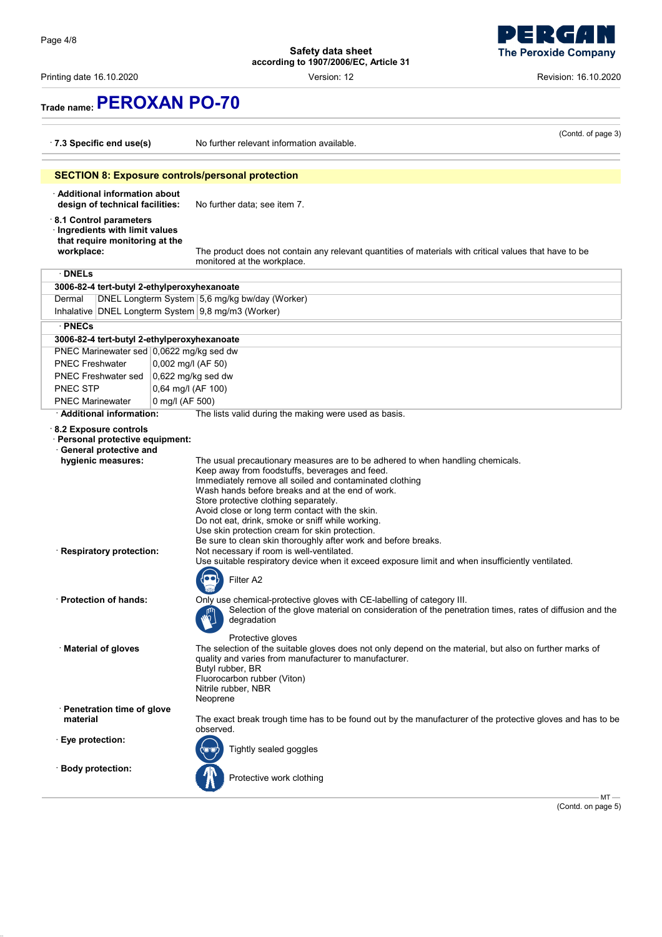Printing date 16.10.2020 Version: 12 Revision: 16.10.2020

# **The Peroxide Company**

 $\overline{\mathbf{d}}$ 

Ы - 1

# **Trade name:PEROXAN PO-70**

| $\cdot$ 7.3 Specific end use(s)                                                                                                                                    |                 | (Contd. of page 3)<br>No further relevant information available.                                                                                                                                                                                                                                                                                                                                                                                                                                                                                                                                                                                                                                                                                             |
|--------------------------------------------------------------------------------------------------------------------------------------------------------------------|-----------------|--------------------------------------------------------------------------------------------------------------------------------------------------------------------------------------------------------------------------------------------------------------------------------------------------------------------------------------------------------------------------------------------------------------------------------------------------------------------------------------------------------------------------------------------------------------------------------------------------------------------------------------------------------------------------------------------------------------------------------------------------------------|
|                                                                                                                                                                    |                 | <b>SECTION 8: Exposure controls/personal protection</b>                                                                                                                                                                                                                                                                                                                                                                                                                                                                                                                                                                                                                                                                                                      |
| · Additional information about<br>design of technical facilities:                                                                                                  |                 | No further data; see item 7.                                                                                                                                                                                                                                                                                                                                                                                                                                                                                                                                                                                                                                                                                                                                 |
| 8.1 Control parameters<br>· Ingredients with limit values<br>that require monitoring at the<br>workplace:                                                          |                 | The product does not contain any relevant quantities of materials with critical values that have to be<br>monitored at the workplace.                                                                                                                                                                                                                                                                                                                                                                                                                                                                                                                                                                                                                        |
| $\cdot$ DNELs                                                                                                                                                      |                 |                                                                                                                                                                                                                                                                                                                                                                                                                                                                                                                                                                                                                                                                                                                                                              |
| 3006-82-4 tert-butyl 2-ethylperoxyhexanoate                                                                                                                        |                 |                                                                                                                                                                                                                                                                                                                                                                                                                                                                                                                                                                                                                                                                                                                                                              |
| Dermal                                                                                                                                                             |                 | DNEL Longterm System 5,6 mg/kg bw/day (Worker)                                                                                                                                                                                                                                                                                                                                                                                                                                                                                                                                                                                                                                                                                                               |
| Inhalative DNEL Longterm System 9,8 mg/m3 (Worker)                                                                                                                 |                 |                                                                                                                                                                                                                                                                                                                                                                                                                                                                                                                                                                                                                                                                                                                                                              |
| · PNECs                                                                                                                                                            |                 |                                                                                                                                                                                                                                                                                                                                                                                                                                                                                                                                                                                                                                                                                                                                                              |
| 3006-82-4 tert-butyl 2-ethylperoxyhexanoate                                                                                                                        |                 |                                                                                                                                                                                                                                                                                                                                                                                                                                                                                                                                                                                                                                                                                                                                                              |
| PNEC Marinewater sed 0,0622 mg/kg sed dw                                                                                                                           |                 |                                                                                                                                                                                                                                                                                                                                                                                                                                                                                                                                                                                                                                                                                                                                                              |
| <b>PNEC Freshwater</b>                                                                                                                                             |                 | 0,002 mg/l (AF 50)                                                                                                                                                                                                                                                                                                                                                                                                                                                                                                                                                                                                                                                                                                                                           |
| PNEC Freshwater sed                                                                                                                                                |                 | 0,622 mg/kg sed dw                                                                                                                                                                                                                                                                                                                                                                                                                                                                                                                                                                                                                                                                                                                                           |
| <b>PNEC STP</b>                                                                                                                                                    |                 | 0,64 mg/l (AF 100)                                                                                                                                                                                                                                                                                                                                                                                                                                                                                                                                                                                                                                                                                                                                           |
| <b>PNEC Marinewater</b>                                                                                                                                            | 0 mg/l (AF 500) |                                                                                                                                                                                                                                                                                                                                                                                                                                                                                                                                                                                                                                                                                                                                                              |
| · Additional information:                                                                                                                                          |                 | The lists valid during the making were used as basis.                                                                                                                                                                                                                                                                                                                                                                                                                                                                                                                                                                                                                                                                                                        |
| 8.2 Exposure controls<br>· Personal protective equipment:<br>· General protective and<br>hygienic measures:<br>· Respiratory protection:<br>· Protection of hands: |                 | The usual precautionary measures are to be adhered to when handling chemicals.<br>Keep away from foodstuffs, beverages and feed.<br>Immediately remove all soiled and contaminated clothing<br>Wash hands before breaks and at the end of work.<br>Store protective clothing separately.<br>Avoid close or long term contact with the skin.<br>Do not eat, drink, smoke or sniff while working.<br>Use skin protection cream for skin protection.<br>Be sure to clean skin thoroughly after work and before breaks.<br>Not necessary if room is well-ventilated.<br>Use suitable respiratory device when it exceed exposure limit and when insufficiently ventilated.<br>Filter A2<br>Only use chemical-protective gloves with CE-labelling of category III. |
| · Material of gloves                                                                                                                                               |                 | Selection of the glove material on consideration of the penetration times, rates of diffusion and the<br>$\mathbb{Z}$<br>degradation<br>Protective gloves<br>The selection of the suitable gloves does not only depend on the material, but also on further marks of<br>quality and varies from manufacturer to manufacturer.<br>Butyl rubber, BR<br>Fluorocarbon rubber (Viton)<br>Nitrile rubber, NBR<br>Neoprene                                                                                                                                                                                                                                                                                                                                          |
| · Penetration time of glove                                                                                                                                        |                 |                                                                                                                                                                                                                                                                                                                                                                                                                                                                                                                                                                                                                                                                                                                                                              |
| material                                                                                                                                                           |                 | The exact break trough time has to be found out by the manufacturer of the protective gloves and has to be                                                                                                                                                                                                                                                                                                                                                                                                                                                                                                                                                                                                                                                   |
| · Eye protection:                                                                                                                                                  |                 | observed.<br>Tightly sealed goggles                                                                                                                                                                                                                                                                                                                                                                                                                                                                                                                                                                                                                                                                                                                          |
| · Body protection:                                                                                                                                                 |                 | Protective work clothing<br>$MT -$                                                                                                                                                                                                                                                                                                                                                                                                                                                                                                                                                                                                                                                                                                                           |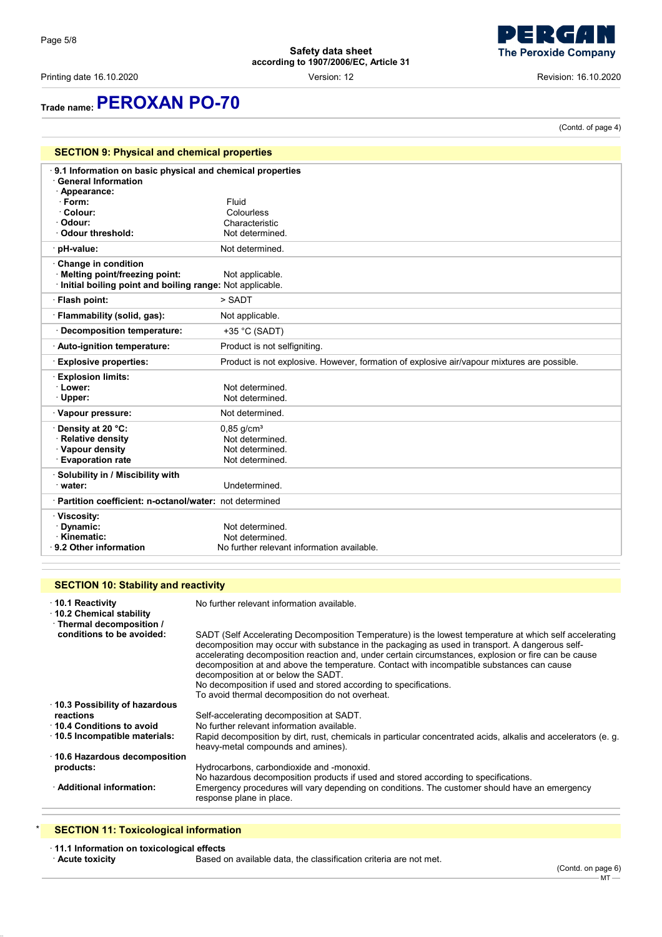Printing date 16.10.2020 Version: 12 Revision: 16.10.2020

(Contd. of page 4)

# **Trade name:PEROXAN PO-70**

| <b>SECTION 9: Physical and chemical properties</b>                                                                                                             |                                                                                             |  |  |  |
|----------------------------------------------------------------------------------------------------------------------------------------------------------------|---------------------------------------------------------------------------------------------|--|--|--|
| 9.1 Information on basic physical and chemical properties<br><b>General Information</b><br>Appearance:<br>· Form:<br>· Colour:<br>· Odour:<br>Odour threshold: | Fluid<br>Colourless<br>Characteristic<br>Not determined.                                    |  |  |  |
| · pH-value:                                                                                                                                                    | Not determined.                                                                             |  |  |  |
| Change in condition<br>Melting point/freezing point:<br>Initial boiling point and boiling range: Not applicable.                                               | Not applicable.                                                                             |  |  |  |
| · Flash point:                                                                                                                                                 | > SADT                                                                                      |  |  |  |
| · Flammability (solid, gas):                                                                                                                                   | Not applicable.                                                                             |  |  |  |
| <b>Decomposition temperature:</b>                                                                                                                              | $+35$ °C (SADT)                                                                             |  |  |  |
| · Auto-ignition temperature:                                                                                                                                   | Product is not selfigniting.                                                                |  |  |  |
| <b>Explosive properties:</b>                                                                                                                                   | Product is not explosive. However, formation of explosive air/vapour mixtures are possible. |  |  |  |
| <b>Explosion limits:</b><br>· Lower:<br>· Upper:                                                                                                               | Not determined.<br>Not determined.                                                          |  |  |  |
| · Vapour pressure:                                                                                                                                             | Not determined.                                                                             |  |  |  |
| Density at 20 °C:<br><b>Relative density</b><br>· Vapour density<br><b>Evaporation rate</b>                                                                    | $0,85$ g/cm <sup>3</sup><br>Not determined.<br>Not determined.<br>Not determined.           |  |  |  |
| Solubility in / Miscibility with<br>water:                                                                                                                     | Undetermined.                                                                               |  |  |  |
| · Partition coefficient: n-octanol/water: not determined                                                                                                       |                                                                                             |  |  |  |
|                                                                                                                                                                |                                                                                             |  |  |  |
| · Viscosity:<br>Dynamic:<br>Kinematic:<br>9.2 Other information                                                                                                | Not determined.<br>Not determined.<br>No further relevant information available.            |  |  |  |

## **SECTION 10: Stability and reactivity**

| $\cdot$ 10.1 Reactivity<br>10.2 Chemical stability<br>· Thermal decomposition / | No further relevant information available.                                                                                                                                                                                                                                                                                                                                                                                                                                                                                                                                     |
|---------------------------------------------------------------------------------|--------------------------------------------------------------------------------------------------------------------------------------------------------------------------------------------------------------------------------------------------------------------------------------------------------------------------------------------------------------------------------------------------------------------------------------------------------------------------------------------------------------------------------------------------------------------------------|
| conditions to be avoided:                                                       | SADT (Self Accelerating Decomposition Temperature) is the lowest temperature at which self accelerating<br>decomposition may occur with substance in the packaging as used in transport. A dangerous self-<br>accelerating decomposition reaction and, under certain circumstances, explosion or fire can be cause<br>decomposition at and above the temperature. Contact with incompatible substances can cause<br>decomposition at or below the SADT.<br>No decomposition if used and stored according to specifications.<br>To avoid thermal decomposition do not overheat. |
| 10.3 Possibility of hazardous                                                   |                                                                                                                                                                                                                                                                                                                                                                                                                                                                                                                                                                                |
| reactions                                                                       | Self-accelerating decomposition at SADT.                                                                                                                                                                                                                                                                                                                                                                                                                                                                                                                                       |
| 10.4 Conditions to avoid                                                        | No further relevant information available                                                                                                                                                                                                                                                                                                                                                                                                                                                                                                                                      |
| 10.5 Incompatible materials:                                                    | Rapid decomposition by dirt, rust, chemicals in particular concentrated acids, alkalis and accelerators (e. q.<br>heavy-metal compounds and amines).                                                                                                                                                                                                                                                                                                                                                                                                                           |
| ⋅ 10.6 Hazardous decomposition                                                  |                                                                                                                                                                                                                                                                                                                                                                                                                                                                                                                                                                                |
| products:                                                                       | Hydrocarbons, carbondioxide and -monoxid.<br>No hazardous decomposition products if used and stored according to specifications.                                                                                                                                                                                                                                                                                                                                                                                                                                               |
| · Additional information:                                                       | Emergency procedures will vary depending on conditions. The customer should have an emergency<br>response plane in place.                                                                                                                                                                                                                                                                                                                                                                                                                                                      |

## **SECTION 11: Toxicological information**

· **11.1 Information on toxicological effects**

**Based on available data, the classification criteria are not met.** 

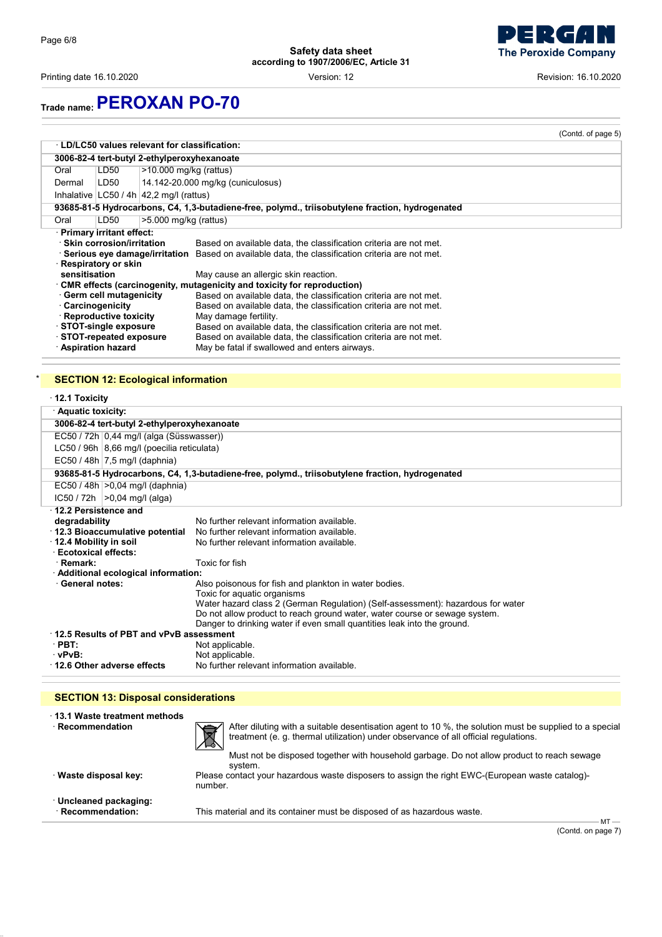Printing date 16.10.2020 Version: 12 Revision: 16.10.2020

# **Trade name:PEROXAN PO-70**

|               |                                                                                                                                                                                                                                     |                                                                                                                                                                                                                                                                                                                                                                                                                                                                                                                                                                                                                                                                  | (Contd. of page 5) |
|---------------|-------------------------------------------------------------------------------------------------------------------------------------------------------------------------------------------------------------------------------------|------------------------------------------------------------------------------------------------------------------------------------------------------------------------------------------------------------------------------------------------------------------------------------------------------------------------------------------------------------------------------------------------------------------------------------------------------------------------------------------------------------------------------------------------------------------------------------------------------------------------------------------------------------------|--------------------|
|               |                                                                                                                                                                                                                                     | <b>LD/LC50 values relevant for classification:</b>                                                                                                                                                                                                                                                                                                                                                                                                                                                                                                                                                                                                               |                    |
|               |                                                                                                                                                                                                                                     | 3006-82-4 tert-butyl 2-ethylperoxyhexanoate                                                                                                                                                                                                                                                                                                                                                                                                                                                                                                                                                                                                                      |                    |
| Oral          | LD50                                                                                                                                                                                                                                | $>10.000$ mg/kg (rattus)                                                                                                                                                                                                                                                                                                                                                                                                                                                                                                                                                                                                                                         |                    |
| Dermal        | LD50                                                                                                                                                                                                                                | 14.142-20.000 mg/kg (cuniculosus)                                                                                                                                                                                                                                                                                                                                                                                                                                                                                                                                                                                                                                |                    |
|               |                                                                                                                                                                                                                                     | Inhalative $ LC50/4h 42,2 mg/l$ (rattus)                                                                                                                                                                                                                                                                                                                                                                                                                                                                                                                                                                                                                         |                    |
|               |                                                                                                                                                                                                                                     | 93685-81-5 Hydrocarbons, C4, 1,3-butadiene-free, polymd., triisobutylene fraction, hydrogenated                                                                                                                                                                                                                                                                                                                                                                                                                                                                                                                                                                  |                    |
| Oral          | LD50                                                                                                                                                                                                                                | $>5.000$ mg/kg (rattus)                                                                                                                                                                                                                                                                                                                                                                                                                                                                                                                                                                                                                                          |                    |
| sensitisation | · Primary irritant effect:<br>· Skin corrosion/irritation<br>Respiratory or skin<br>Germ cell mutagenicity<br>Carcinogenicity<br>· Reproductive toxicity<br>⋅ STOT-single exposure<br>STOT-repeated exposure<br>· Aspiration hazard | Based on available data, the classification criteria are not met.<br>Serious eye damage/irritation<br>Based on available data, the classification criteria are not met.<br>May cause an allergic skin reaction.<br>$\cdot$ CMR effects (carcinogenity, mutagenicity and toxicity for reproduction)<br>Based on available data, the classification criteria are not met.<br>Based on available data, the classification criteria are not met.<br>May damage fertility.<br>Based on available data, the classification criteria are not met.<br>Based on available data, the classification criteria are not met.<br>May be fatal if swallowed and enters airways. |                    |

## **SECTION 12: Ecological information**

| $\cdot$ 12.1 Toxicity                                                                           |                                                                                      |  |
|-------------------------------------------------------------------------------------------------|--------------------------------------------------------------------------------------|--|
| · Aquatic toxicity:                                                                             |                                                                                      |  |
| 3006-82-4 tert-butyl 2-ethylperoxyhexanoate                                                     |                                                                                      |  |
| EC50 / 72h 0,44 mg/l (alga (Süsswasser))                                                        |                                                                                      |  |
| LC50 / 96h 8,66 mg/l (poecilia reticulata)                                                      |                                                                                      |  |
| EC50 / 48h $ 7,5$ mg/l (daphnia)                                                                |                                                                                      |  |
| 93685-81-5 Hydrocarbons, C4, 1,3-butadiene-free, polymd., triisobutylene fraction, hydrogenated |                                                                                      |  |
| EC50 / 48h   > 0,04 mg/l (daphnia)                                                              |                                                                                      |  |
| $IC50 / 72h$ $>0.04$ mg/l (alga)                                                                |                                                                                      |  |
| 12.2 Persistence and                                                                            |                                                                                      |  |
| degradability                                                                                   | No further relevant information available                                            |  |
| 12.3 Bioaccumulative potential                                                                  | No further relevant information available.                                           |  |
| 12.4 Mobility in soil                                                                           | No further relevant information available                                            |  |
| <b>Ecotoxical effects:</b>                                                                      | Toxic for fish                                                                       |  |
| · Remark:                                                                                       |                                                                                      |  |
| · Additional ecological information:<br><b>General notes:</b>                                   |                                                                                      |  |
|                                                                                                 | Also poisonous for fish and plankton in water bodies.<br>Toxic for aquatic organisms |  |
|                                                                                                 | Water hazard class 2 (German Regulation) (Self-assessment): hazardous for water      |  |
|                                                                                                 | Do not allow product to reach ground water, water course or sewage system.           |  |
|                                                                                                 | Danger to drinking water if even small quantities leak into the ground.              |  |
| 12.5 Results of PBT and vPvB assessment                                                         |                                                                                      |  |
| $\cdot$ PBT:                                                                                    | Not applicable.                                                                      |  |
| $\cdot$ vPvB:                                                                                   | Not applicable.                                                                      |  |
| 12.6 Other adverse effects                                                                      | No further relevant information available.                                           |  |

## **SECTION 13: Disposal considerations**

| Recommendation<br>· Waste disposal key: | After diluting with a suitable desentisation agent to 10 %, the solution must be supplied to a special<br>$\boxtimes$<br>treatment (e. g. thermal utilization) under observance of all official regulations.<br>Must not be disposed together with household garbage. Do not allow product to reach sewage<br>svstem.<br>Please contact your hazardous waste disposers to assign the right EWC-(European waste catalog)-<br>number. |
|-----------------------------------------|-------------------------------------------------------------------------------------------------------------------------------------------------------------------------------------------------------------------------------------------------------------------------------------------------------------------------------------------------------------------------------------------------------------------------------------|
| · Uncleaned packaging:                  | This material and its container must be disposed of as hazardous waste.                                                                                                                                                                                                                                                                                                                                                             |
| · Recommendation:                       | $MT -$                                                                                                                                                                                                                                                                                                                                                                                                                              |

(Contd. on page 7)

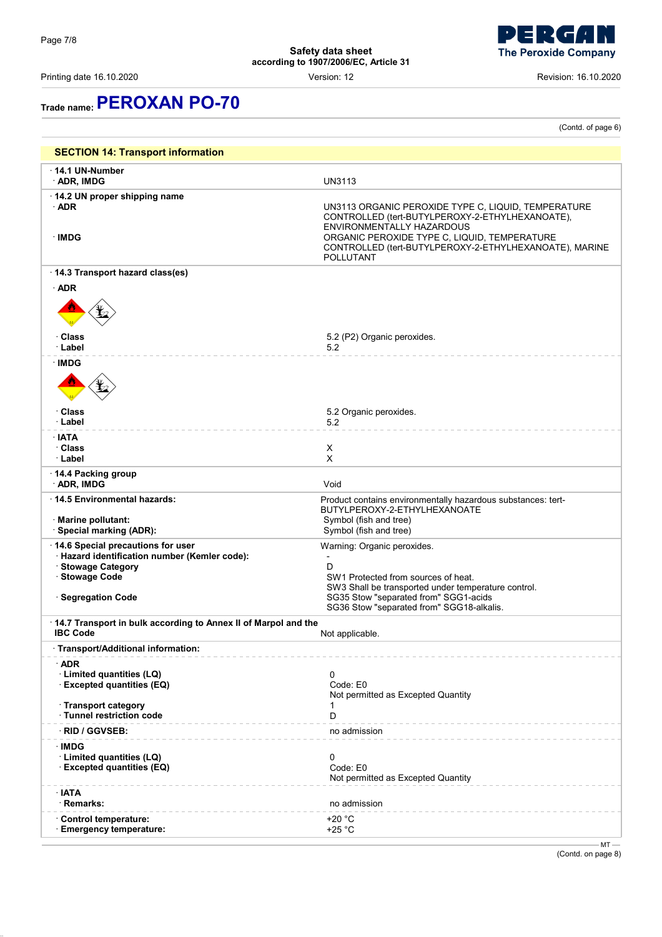Printing date 16.10.2020 Version: 12 Revision: 16.10.2020

(Contd. of page 6)

# **Trade name:PEROXAN PO-70**

| <b>SECTION 14: Transport information</b>                                                                                                         |                                                                                                                                                                                                                                                            |
|--------------------------------------------------------------------------------------------------------------------------------------------------|------------------------------------------------------------------------------------------------------------------------------------------------------------------------------------------------------------------------------------------------------------|
| $\cdot$ 14.1 UN-Number<br>· ADR, IMDG                                                                                                            | <b>UN3113</b>                                                                                                                                                                                                                                              |
| 14.2 UN proper shipping name<br>$\cdot$ ADR<br>∴IMDG                                                                                             | UN3113 ORGANIC PEROXIDE TYPE C, LIQUID, TEMPERATURE<br>CONTROLLED (tert-BUTYLPEROXY-2-ETHYLHEXANOATE),<br>ENVIRONMENTALLY HAZARDOUS<br>ORGANIC PEROXIDE TYPE C, LIQUID, TEMPERATURE<br>CONTROLLED (tert-BUTYLPEROXY-2-ETHYLHEXANOATE), MARINE<br>POLLUTANT |
| 14.3 Transport hazard class(es)                                                                                                                  |                                                                                                                                                                                                                                                            |
| $\cdot$ ADR                                                                                                                                      |                                                                                                                                                                                                                                                            |
| · Class<br>· Label                                                                                                                               | 5.2 (P2) Organic peroxides.<br>5.2                                                                                                                                                                                                                         |
| <b>IMDG</b>                                                                                                                                      |                                                                                                                                                                                                                                                            |
| · Class<br>· Label                                                                                                                               | 5.2 Organic peroxides.<br>5.2                                                                                                                                                                                                                              |
| ∴IATA<br>· Class<br>· Label                                                                                                                      | Χ<br>X                                                                                                                                                                                                                                                     |
| 14.4 Packing group<br>· ADR, IMDG                                                                                                                | Void                                                                                                                                                                                                                                                       |
| $\cdot$ 14.5 Environmental hazards:<br>· Marine pollutant:<br>· Special marking (ADR):                                                           | Product contains environmentally hazardous substances: tert-<br>BUTYLPEROXY-2-ETHYLHEXANOATE<br>Symbol (fish and tree)<br>Symbol (fish and tree)                                                                                                           |
| 14.6 Special precautions for user<br>· Hazard identification number (Kemler code):<br>· Stowage Category<br>· Stowage Code<br>· Segregation Code | Warning: Organic peroxides.<br>$\overline{\phantom{a}}$<br>D<br>SW1 Protected from sources of heat.<br>SW3 Shall be transported under temperature control.<br>SG35 Stow "separated from" SGG1-acids<br>SG36 Stow "separated from" SGG18-alkalis.           |
| 14.7 Transport in bulk according to Annex II of Marpol and the<br><b>IBC Code</b>                                                                | Not applicable.                                                                                                                                                                                                                                            |
| · Transport/Additional information:                                                                                                              |                                                                                                                                                                                                                                                            |
| $\cdot$ ADR<br>· Limited quantities (LQ)<br>· Excepted quantities (EQ)                                                                           | 0<br>Code: E0<br>Not permitted as Excepted Quantity                                                                                                                                                                                                        |
| · Transport category<br>· Tunnel restriction code                                                                                                | D                                                                                                                                                                                                                                                          |
| <b>RID / GGVSEB:</b>                                                                                                                             | no admission                                                                                                                                                                                                                                               |
| ∙IMDG<br>· Limited quantities (LQ)<br>· Excepted quantities (EQ)                                                                                 | 0<br>Code: E0<br>Not permitted as Excepted Quantity                                                                                                                                                                                                        |
| $\cdot$ IATA<br>· Remarks:                                                                                                                       | no admission                                                                                                                                                                                                                                               |
| Control temperature:<br><b>Emergency temperature:</b>                                                                                            | $+20 °C$<br>+25 $°C$                                                                                                                                                                                                                                       |